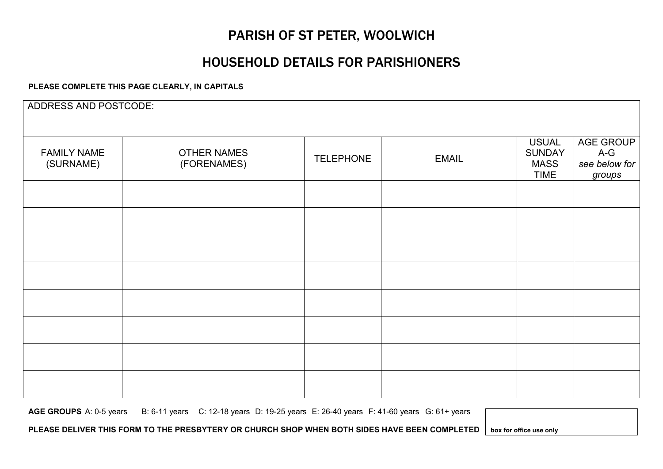### PARISH OF ST PETER, WOOLWICH

### HOUSEHOLD DETAILS FOR PARISHIONERS

#### **PLEASE COMPLETE THIS PAGE CLEARLY, IN CAPITALS**

| ADDRESS AND POSTCODE:           |                                   |                  |              |                                                             |                                               |
|---------------------------------|-----------------------------------|------------------|--------------|-------------------------------------------------------------|-----------------------------------------------|
| <b>FAMILY NAME</b><br>(SURNAME) | <b>OTHER NAMES</b><br>(FORENAMES) | <b>TELEPHONE</b> | <b>EMAIL</b> | <b>USUAL</b><br><b>SUNDAY</b><br><b>MASS</b><br><b>TIME</b> | AGE GROUP<br>$A-G$<br>see below for<br>groups |
|                                 |                                   |                  |              |                                                             |                                               |
|                                 |                                   |                  |              |                                                             |                                               |
|                                 |                                   |                  |              |                                                             |                                               |
|                                 |                                   |                  |              |                                                             |                                               |
|                                 |                                   |                  |              |                                                             |                                               |
|                                 |                                   |                  |              |                                                             |                                               |
|                                 |                                   |                  |              |                                                             |                                               |
|                                 |                                   |                  |              |                                                             |                                               |

**AGE GROUPS** A: 0-5 years B: 6-11 years C: 12-18 years D: 19-25 years E: 26-40 years F: 41-60 years G: 61+ years

**PLEASE DELIVER THIS FORM TO THE PRESBYTERY OR CHURCH SHOP WHEN BOTH SIDES HAVE BEEN COMPLETED box for office use only**